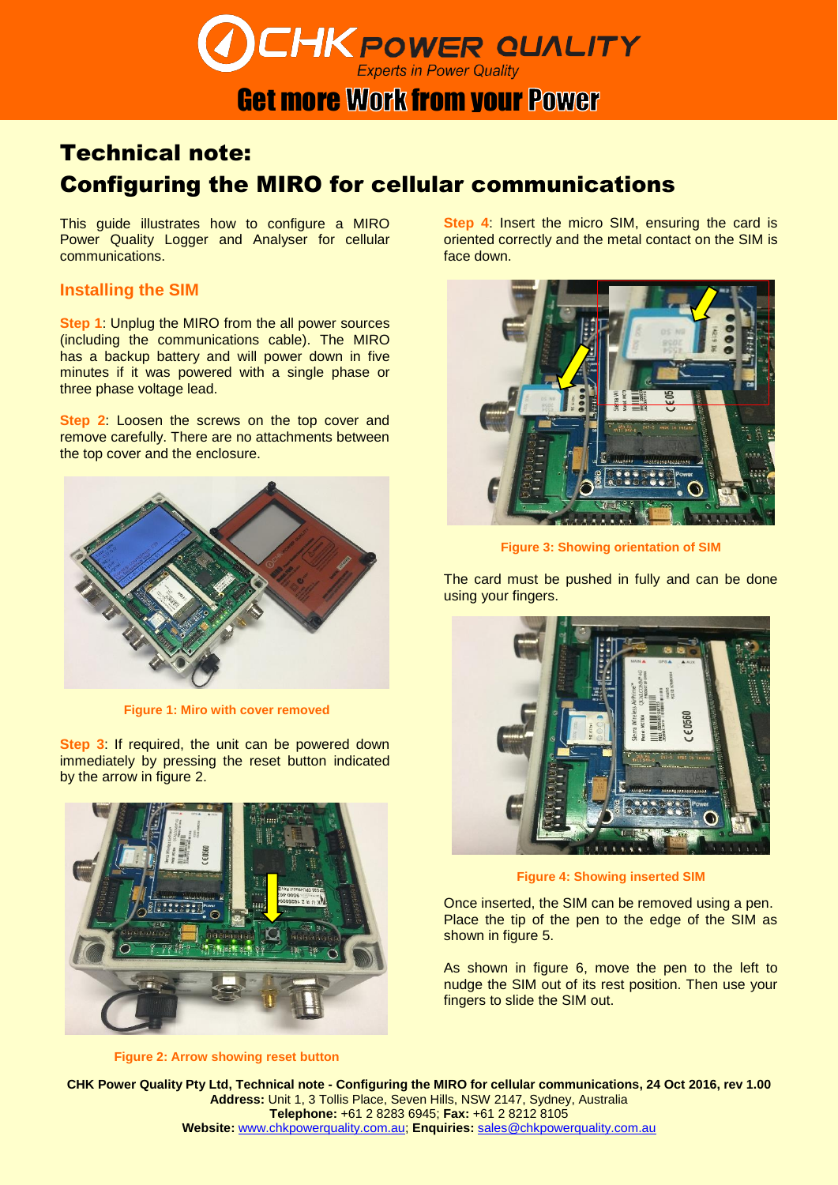# **CHK POWER QUALITY**

## **Get more Work from your Power**

## Technical note: Configuring the MIRO for cellular communications

This guide illustrates how to configure a MIRO Power Quality Logger and Analyser for cellular communications.

### **Installing the SIM**

**Step 1**: Unplug the MIRO from the all power sources (including the communications cable). The MIRO has a backup battery and will power down in five minutes if it was powered with a single phase or three phase voltage lead.

**Step 2**: Loosen the screws on the top cover and remove carefully. There are no attachments between the top cover and the enclosure.



**Figure 1: Miro with cover removed**

**Step 3**: If required, the unit can be powered down immediately by pressing the reset button indicated by the arrow in figure 2.



**Figure 2: Arrow showing reset button**

**Step 4**: Insert the micro SIM, ensuring the card is oriented correctly and the metal contact on the SIM is face down.



**Figure 3: Showing orientation of SIM**

The card must be pushed in fully and can be done using your fingers.



**Figure 4: Showing inserted SIM**

Once inserted, the SIM can be removed using a pen. Place the tip of the pen to the edge of the SIM as shown in figure 5.

As shown in figure 6, move the pen to the left to nudge the SIM out of its rest position. Then use your fingers to slide the SIM out.

**CHK Power Quality Pty Ltd, Technical note - Configuring the MIRO for cellular communications, 24 Oct 2016, rev 1.00 Address:** Unit 1, 3 Tollis Place, Seven Hills, NSW 2147, Sydney, Australia **Telephone:** +61 2 8283 6945; **Fax:** +61 2 8212 8105 **Website:** [www.chkpowerquality.com.au;](http://www.chkpowerquality.com.au/) **Enquiries:** [sales@chkpowerquality.com.au](mailto:sales@chkpowerquality.com.au)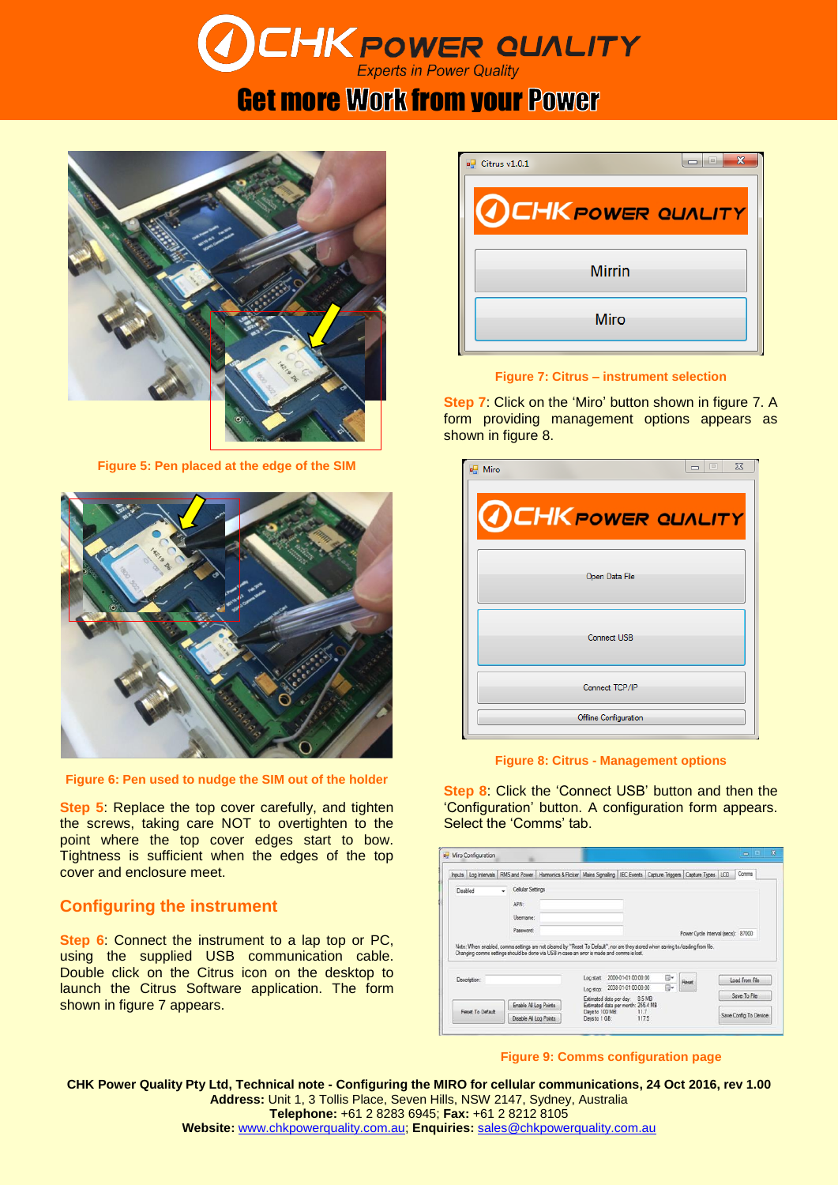# **CHK POWER QUALITY**

# **Get more Work from your Power**



**Figure 5: Pen placed at the edge of the SIM**



**Figure 6: Pen used to nudge the SIM out of the holder**

**Step 5**: Replace the top cover carefully, and tighten the screws, taking care NOT to overtighten to the point where the top cover edges start to bow. Tightness is sufficient when the edges of the top cover and enclosure meet.

## **Configuring the instrument**

**Step 6**: Connect the instrument to a lap top or PC, using the supplied USB communication cable. Double click on the Citrus icon on the desktop to launch the Citrus Software application. The form shown in figure 7 appears.

| Citrus v1.0.1            | $\overline{\mathbf{x}}$<br>$\equiv$ |
|--------------------------|-------------------------------------|
| <b>OCHKPOWER QUALITY</b> |                                     |
| <b>Mirrin</b>            |                                     |
| Miro                     |                                     |

### **Figure 7: Citrus – instrument selection**

**Step 7**: Click on the 'Miro' button shown in figure 7. A form providing management options appears as shown in figure 8.

| $\Sigma$<br>$\equiv$<br>a <sup>l</sup> Miro |
|---------------------------------------------|
| <b>OCHK POWER QUALITY</b>                   |
| Open Data File                              |
| Connect USB                                 |
| Connect TCP/IP                              |
| Offline Configuration                       |

**Figure 8: Citrus - Management options**

**Step 8**: Click the 'Connect USB' button and then the 'Configuration' button. A configuration form appears. Select the 'Comms' tab.

| Inputs Log Intervals RMS and Power Harmonics & Ricker Mains Signaling IEC Events Capture Triggers Capture Types LCD |                                                                                                                                                                                                                               |                                                                                                       |    |       | Comms                              |
|---------------------------------------------------------------------------------------------------------------------|-------------------------------------------------------------------------------------------------------------------------------------------------------------------------------------------------------------------------------|-------------------------------------------------------------------------------------------------------|----|-------|------------------------------------|
| <b>Disabled</b>                                                                                                     | Cellular Settings<br>APN:<br>Llsemame:<br>Password:                                                                                                                                                                           |                                                                                                       |    |       | Power Cycle Interval (secs): 87000 |
|                                                                                                                     |                                                                                                                                                                                                                               |                                                                                                       |    |       |                                    |
|                                                                                                                     | Note: When enabled, comms settings are not cleared by "Reset To Default", nor are they stored when saving to foading from file.<br>Changing comms settings should be done via USB in case an error is made and comms is lost. |                                                                                                       |    |       |                                    |
| Description:                                                                                                        |                                                                                                                                                                                                                               | Log start: 2000-01-01 00:00:00                                                                        | ß. | Reset | Load From File                     |
|                                                                                                                     | Enable All Log Points                                                                                                                                                                                                         | Log stop: 2038-01-01 00:00:00<br>Estimated data per day: 8.5 MB<br>Estimated data per month: 255.4 MB | 同v |       | Save To File                       |

#### **Figure 9: Comms configuration page**

**CHK Power Quality Pty Ltd, Technical note - Configuring the MIRO for cellular communications, 24 Oct 2016, rev 1.00 Address:** Unit 1, 3 Tollis Place, Seven Hills, NSW 2147, Sydney, Australia **Telephone:** +61 2 8283 6945; **Fax:** +61 2 8212 8105 **Website:** [www.chkpowerquality.com.au;](http://www.chkpowerquality.com.au/) **Enquiries:** [sales@chkpowerquality.com.au](mailto:sales@chkpowerquality.com.au)